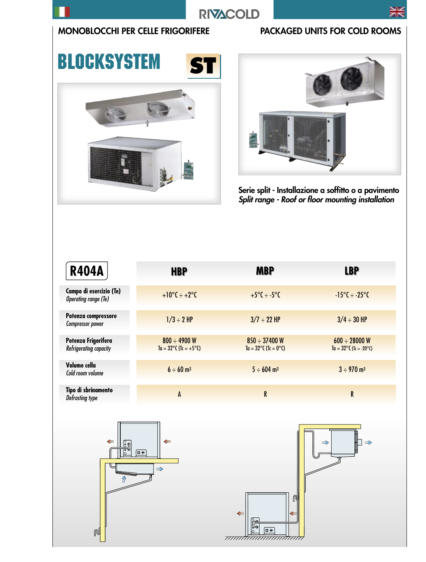

### MONOBLOCCHI PER CELLE FRIGORIFERE PACKAGED UNITS FOR COLD ROOMS

**BLOCKSYSTEM** 

# **ST**





Serie split - Installazione a soffitto o a pavimento Split range - Roof or floor mounting installation

| <b>R404A</b>                                           | <b>HBP</b>                                                 | <b>MBP</b>                                          | <b>LBP</b>                                                          |
|--------------------------------------------------------|------------------------------------------------------------|-----------------------------------------------------|---------------------------------------------------------------------|
| Campo di esercizio (Te)<br><b>Operating range (Te)</b> | $+10^{\circ}C \div +2^{\circ}C$                            | $+5^{\circ}$ C ÷ -5 $^{\circ}$ C                    | $-15^{\circ}C \div -25^{\circ}C$                                    |
| Potenza compressore<br>Compressor power                | $1/3 \div 2$ HP                                            | $3/7 \div 22$ HP                                    | $3/4 \div 30$ HP                                                    |
| Potenza Frigorifera<br>Refrigerating capacity          | $800 \div 4900$ W<br>$Ta = 32^{\circ}C (Tc = +5^{\circ}C)$ | $850 \div 37400$ W<br>$Ta = 32^{\circ}C$ (Tc = 0°C) | $600 \div 28000 \text{ W}$<br>$Ta = 32^{\circ}C(Tc = -20^{\circ}C)$ |
| Volume cella<br>Cold room volume                       | $6 \div 60$ m <sup>3</sup>                                 | $5 \div 604$ m <sup>3</sup>                         | $3 \div 970$ m <sup>3</sup>                                         |
| Tipo di sbrinamento<br>Defrosting type                 | A                                                          | R                                                   | R                                                                   |

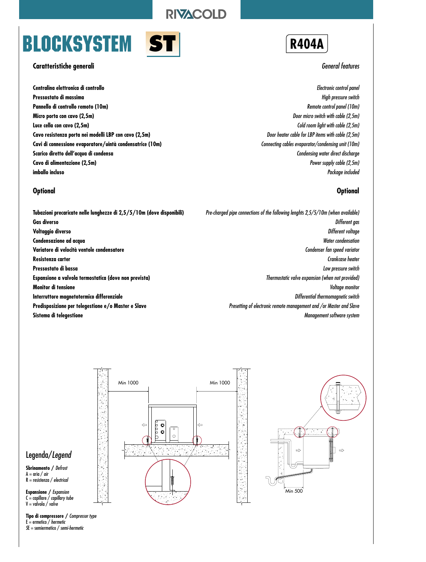## **BLOCKSYSTEM**



#### **Caratteristiche generali**

**Centralina elettronica di controllo Pressostato di massima Pannello di controllo remoto (10m) Micro porta con cavo (2,5m) Luce cella con cavo (2,5m) Cavo resistenza porta nei modelli LBP con cavo (2,5m) Cavi di connessione evaporatore/uintà condensatrice (10m) Scarico diretto dell'acqua di condensa Cavo di alimentazione (2,5m) imballo incluso**

#### **Optional**

**Tubazioni precaricate nelle lunghezze di 2,5/5/10m (dove disponibili) Gas diverso Voltaggio diverso Condensazione ad acqua Variatore di velocità ventole condensatore Resistenza carter Pressostato di bassa Espansione a valvola termostatica (dove non prevista) Monitor di tensione Interruttore magnetotermico differenziale Predisposizione per telegestione e/o Master e Slave Sistema di telegestione**

**R404A**

#### General features

Electronic control panel High pressure switch Remote control panel (10m) Door micro switch with cable (2,5m) Cold room light with cable (2,5m) Door heater cable for LBP items with cable (2,5m) Connecting cables evaporator/condensing unit (10m) Condensing water direct discharge Power supply cable (2,5m) Package included

#### **Optional**

Pre-charged pipe connections of the following lenghts 2,5/5/10m (when available) Different gas Different voltage Water condensation Condenser fan speed variator Crankcase heater Low pressure switch Thermostatic valve expansion (when not provided) Voltage monitor Differential thermomagnetic switch Presetting of electronic remote management and /or Master and Slave Management software system

#### Legenda/Legend

**Sbrinamento /** Defrost  $A = \text{aria} / \text{air}$  $R =$  resistenza / electrical

**Espansione /** Expansion  $C =$  capillare / capillary tube

 $V =$  valvola / valve

**Tipo di compressore /** Compressor type  $E =$  ermetico / hermetic SE = semiermetico / semi-hermetic



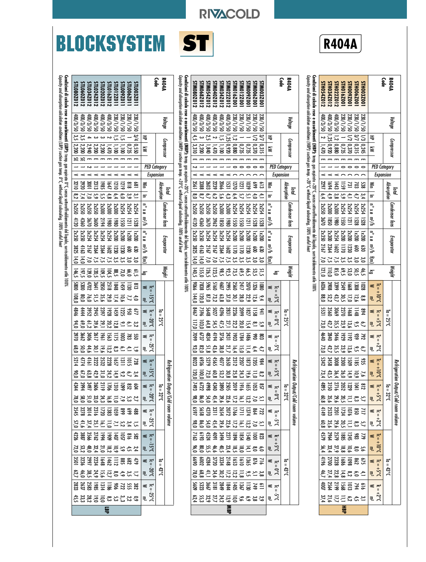# **BLOCKSYSTEM ST**



RIVACOLD



|                                                                                                                                                              |                                                                                                                                                                   |                                                                                                                                                              |                     |                  | pid                                                                                                      |                                                                                                                                                                                                                                                                                     |                                                                                                                                                                                                                                         |                                            | Refrigeration Output/Cold room volume                                                                                                                                                                                                                                                                                                                                                                                                                                                                                                                                                                                                                                                                                                                                                                                                                                               |                                                  |  |
|--------------------------------------------------------------------------------------------------------------------------------------------------------------|-------------------------------------------------------------------------------------------------------------------------------------------------------------------|--------------------------------------------------------------------------------------------------------------------------------------------------------------|---------------------|------------------|----------------------------------------------------------------------------------------------------------|-------------------------------------------------------------------------------------------------------------------------------------------------------------------------------------------------------------------------------------------------------------------------------------|-----------------------------------------------------------------------------------------------------------------------------------------------------------------------------------------------------------------------------------------|--------------------------------------------|-------------------------------------------------------------------------------------------------------------------------------------------------------------------------------------------------------------------------------------------------------------------------------------------------------------------------------------------------------------------------------------------------------------------------------------------------------------------------------------------------------------------------------------------------------------------------------------------------------------------------------------------------------------------------------------------------------------------------------------------------------------------------------------------------------------------------------------------------------------------------------------|--------------------------------------------------|--|
| <b>R404A</b><br>Code                                                                                                                                         | Voltage                                                                                                                                                           | Compressor                                                                                                                                                   |                     |                  | Absorption                                                                                               | Condenser fans                                                                                                                                                                                                                                                                      | Evaporator                                                                                                                                                                                                                              | Weight                                     | ಕ<br>Ш<br><b>25°C</b><br>류<br>32cC<br>3.8t                                                                                                                                                                                                                                                                                                                                                                                                                                                                                                                                                                                                                                                                                                                                                                                                                                          |                                                  |  |
|                                                                                                                                                              |                                                                                                                                                                   | 壭<br>₹                                                                                                                                                       | <b>PED Category</b> | Expansion        | ≦<br>ਤ                                                                                                   | $\mathbf{B} \times \mathbf{B}$<br>บ∕ะ                                                                                                                                                                                                                                               | $\overline{a}$ x $\overline{a}$<br>m∛h<br>Ξ                                                                                                                                                                                             | డ                                          | ≤ ⊤ັ<br>$-10^{o(1)}$<br>킋<br>≼<br>$\vec{r}$<br>$3.5+$<br>킋<br>≤ ⊼<br>$-2.5+$<br>킋<br>≤ ⊤ີ<br>5 <sub>o</sub><br>킋<br>≤ ⊼<br>J <sub>°5</sub><br>₹,<br>≲ ಸ<br>$J_0\overline{U}$<br>킋<br>≤ ⊤ັ<br>$\overline{5}$<br>킋<br>$\leq \frac{1}{n}$<br>$5.5+$<br>₹,<br>$\leq \frac{1}{n}$                                                                                                                                                                                                                                                                                                                                                                                                                                                                                                                                                                                                        | $3.5 +$<br>킛                                     |  |
| STHOO9Z00112<br>STH054Z012<br>STH034Z012<br>STH022Z012<br>STHO16Z001<br>STH006Z00<br><b>STHO03Z00</b>                                                        | <b>400/3/50</b><br>0S/8/00t<br>05/8/00+<br>0S/1/020<br>0S/1/020<br>05/1/067<br>05/1/067                                                                           | $\frac{1}{25}$<br>$55\overline{5}$<br>$\overline{\phantom{0}}$<br>N<br> 0,920<br>$\vert 0.880 \vert$<br>$ 0,315\rangle$<br>0.370<br> 0,245<br>0,735<br>1,470 |                     |                  | 2297<br>1694<br>$\overline{5}$<br>1443<br>젊음절<br>6,4<br>4,9<br>ე<br>ა<br>თ<br>$\mathbf{f}$<br>4,         | 2x350<br><b>2x300</b><br><b>2x300</b><br><b>2x254</b><br>2x254<br><b>2x254</b><br><b>2x254</b><br>3670<br><b>USSO</b><br>0581<br>0861<br>1121<br>1528<br>528                                                                                                                        | 2x350<br>2x300<br>2x254<br>00ZXZ<br>00ZXZ<br>00ZX<br>00ZX1<br>12.20<br>1602<br>2167<br>2364<br>$\tilde{a}$<br>ន្ធ<br>7,5<br>័ព<br>័<br>72<br>27<br>ಀಁ<br>ಀಁ                                                                             | <b>ងខ្លួនខ្លួ</b><br>ភូមិ ភូមិ ភូមិ        | 3399<br>6036<br>3908<br>1028<br>2549<br>2549<br><b>8258822</b><br>$^{80,0}$<br>1468<br>3560<br>306<br>$\overline{ab}$<br>ឌូ<br>768<br><b>5 % ភ្នំ នី</b> នី ដូ ជ្<br>73,0<br>4640<br>2840<br>2446<br>679<br>1192<br>792<br><b>6.2.3.3.3.2.5.7</b><br>73,0<br>3458<br>3008<br>11 BS 9<br>5342<br>និង<br><b>5.3.5 2.8.3.8</b><br><b>H &amp; 2 2 3 3 3 4 4</b><br>5.35.15.35.35<br><b>223 225 325</b><br>235 325 325<br>2,8,9,5,8,2,4,4,<br>5288888888<br>46,7<br>25.35.527<br>$\begin{array}{r} 616 \\ 276 \\ 215 \\ 256 \\ 256 \\ 260 \\ \end{array}$                                                                                                                                                                                                                                                                                                                                | a st といい 3 3 3<br>哥                              |  |
| Condizioni di calcolo rese<br>Capacity and absorption calculation conditions (HBP): suction gas temp. +20°C, without liquid subcooling, 100% useful heat     |                                                                                                                                                                   |                                                                                                                                                              |                     |                  |                                                                                                          |                                                                                                                                                                                                                                                                                     | e assorbimenti (HBP): temp. gas aspirato +20°C, senza sottoraffreddamento del liguido, surriscaldamento utile 100%                                                                                                                      |                                            |                                                                                                                                                                                                                                                                                                                                                                                                                                                                                                                                                                                                                                                                                                                                                                                                                                                                                     |                                                  |  |
|                                                                                                                                                              | Voltage                                                                                                                                                           | Compressor                                                                                                                                                   |                     |                  | pial                                                                                                     | Condenser fans                                                                                                                                                                                                                                                                      | Evaporator                                                                                                                                                                                                                              | Weight                                     | Retrige<br>eration<br>Output/Cold room volume                                                                                                                                                                                                                                                                                                                                                                                                                                                                                                                                                                                                                                                                                                                                                                                                                                       |                                                  |  |
| <b>R404A</b><br>Code                                                                                                                                         |                                                                                                                                                                   |                                                                                                                                                              | <b>PED Category</b> | <b>Expansion</b> | Absorption                                                                                               |                                                                                                                                                                                                                                                                                     |                                                                                                                                                                                                                                         | යි                                         | $3.5+$<br>Ξ<br>$\vec{r}$<br>325<br>류<br>t3°C                                                                                                                                                                                                                                                                                                                                                                                                                                                                                                                                                                                                                                                                                                                                                                                                                                        |                                                  |  |
|                                                                                                                                                              |                                                                                                                                                                   | ₹<br>₹                                                                                                                                                       |                     |                  | ⋚<br>⋾                                                                                                   | $\mathbf{n}^{\circ}$ x ø<br>⇒้∕⊩                                                                                                                                                                                                                                                    | $\mathbf{u}^{\circ}$ x $\mathbf{u}$<br>m∛h<br>Ξ                                                                                                                                                                                         |                                            | $\leq \frac{1}{2}$<br>₹.<br>≼<br>킋<br>$\frac{1}{2}$<br>კ°<br>ლ<br>≤ ⊤ຼ<br>$5^{\circ}C$<br>$\begin{array}{c}\n\blacksquare \\ \blacksquare \\ \blacksquare\n\end{array}$<br>$\frac{6}{m}$<br>$\leq \frac{1}{2}$<br>ی<br>- 5°<br>≤ ⊤ີ<br>$3.5^{+}$<br>$\leq \frac{1}{2}$<br>$\overline{m}^{\rm c}$<br>$\frac{1}{2}$                                                                                                                                                                                                                                                                                                                                                                                                                                                                                                                                                                   | 킋                                                |  |
| STM009Z00<br>STM016Z001<br>STM012Z001<br>STM00320011<br>STM00620011                                                                                          | 330/1/50<br>02/1/50<br>230/1/50<br>230/1/50                                                                                                                       | $\frac{1}{2}$<br>$\mathbb{Z}$<br>$\vert 0.880 \vert$<br>0.370<br>0,735<br>0,315<br>0.735                                                                     |                     |                  | <b>1270</b><br>$\frac{125}{221}$<br>\$9<br>읂<br>6,4                                                      | <b>2x254</b><br><b>2x254</b><br><b>2x254</b><br><b>2x254</b><br><b>2x254</b><br><b>USD</b><br><b>USD</b><br>$\overline{121}$<br>E2<br>ន្ធ                                                                                                                                           | 00ZXZ<br>00ZXZ<br>00ZXZ<br>00ZX<br>00Z <sub>X</sub><br>$\overline{a}$<br>1230<br>g<br>ន្ធ<br><b>3333522</b><br>័ព                                                                                                                       | 55338232<br>252323                         | $\frac{24}{7}$<br><b>1826</b><br>281<br>32<br>2013<br>2013<br>3, 2, 2, 2, 2, 2, 2, 2, 2,<br>5061<br>1784<br><b>1486</b><br><u>ង</u> ខ្ល<br>42552528<br>2312<br>2207<br>$\frac{1}{25}$ $\frac{1}{25}$ $\frac{1}{25}$<br>$\frac{611}{149}$                                                                                                                                                                                                                                                                                                                                                                                                                                                                                                                                                                                                                                            |                                                  |  |
| STM054Z012<br>STM0802012<br>STM068Z012<br>STM040Z012<br>STM034Z012<br>STM0222012                                                                             | 05/8/00<br>0S/E/00t<br>05/8/00#<br>05/8/00t<br>05/8/00t<br>05/1/06Z<br>05/8/00t                                                                                   | こごこ<br>t,<br><b>ی</b> ج<br>$\overline{\phantom{0}}$<br>0.920<br>2,200<br>1,840<br>3,310<br>001'1<br>1,470                                                    |                     |                  | 3561<br>3388<br>1531<br>2016<br>2013<br>៓<br>/٥<br>$\tilde{c}$<br>4,3,6                                  | <b>2x350</b><br>2x300<br><b>2x350</b><br><b>2x350</b><br>2x350<br><b>2x300</b><br>4120<br>4360<br>3670<br>3962<br>ន្ទ្រ<br>$\overline{8}$                                                                                                                                           | <b>2x350</b><br>2x350<br><b>2x254</b><br>3x254<br>3x254<br>3x254<br>3825<br>4163<br>2167<br>216<br>2364<br>1001<br>14,0<br>$\overline{14}$<br>ัง<br>ù                                                                                   | 126,5<br>123,5<br>140,5                    | 906<br>5965<br><b>S160</b><br>2560<br>2995<br>7838<br>120,0<br>144,0<br>$729$<br>87,0<br><b>435<br/>2027</b><br>$\frac{225}{2831}$<br>8467<br>7596<br>103,0<br>64,8<br>54,5<br>li7,0<br>6737<br>4834<br>2431<br>3756<br>660Z<br>323<br>323<br>ន្ល<br>8936<br>4565<br>2650<br>8023<br>855<br>2019 2019 34<br>2019 34<br>2019 34<br>52.52.52.52.52.58.8<br>$\begin{array}{r} 724 \\ 284 \\ 121 \\ 203 \\ 333 \\ 559 \\ 659 \\ 659 \\ \end{array}$<br>5,25,55,28,45,88,98<br>823<br>2010 1224<br>2010 1234<br>2010 1235<br>685582355988<br>716<br>28 32 32 33 33 33 33 33 33 34 35 36 36<br>28 32 33 34 35 36 36<br>3 5 6 7 2 1 2 2 3 3 4 7 8 2 8<br>8 7 2 2 2 2 2 2 2 2 8 2 8<br>1136<br>1964<br>288 5186<br>2809<br>2809                                                                                                                                                             | 23090. 2 2 2 2 3 2 2 3 4 2<br><b>NBP</b>         |  |
| Condizioni di calcolo rese                                                                                                                                   |                                                                                                                                                                   |                                                                                                                                                              |                     |                  |                                                                                                          |                                                                                                                                                                                                                                                                                     | G <b>ndizioni di calcolo rese e assorbimenti (MBP):</b> temp, gas aspirato +20°C, senza sottoraffreddamento del liguido, suriscaldamento utile 100%<br>Capacity and desoption calculation conditions (MBP): suction gas temp. +20°C, wi |                                            |                                                                                                                                                                                                                                                                                                                                                                                                                                                                                                                                                                                                                                                                                                                                                                                                                                                                                     |                                                  |  |
| <b>R404A</b><br>Code                                                                                                                                         | Voltage                                                                                                                                                           | Compressor                                                                                                                                                   |                     |                  | Absorption<br>lotal                                                                                      | Condenser tans                                                                                                                                                                                                                                                                      | Evaporator                                                                                                                                                                                                                              | Weight                                     | 하<br><b>J<sub>25</sub>Z</b><br>Refrig<br>eration<br>Output/Cold room volume<br>32°C<br>13.6 <sub>b</sub>                                                                                                                                                                                                                                                                                                                                                                                                                                                                                                                                                                                                                                                                                                                                                                            |                                                  |  |
|                                                                                                                                                              |                                                                                                                                                                   | ₹<br>₹                                                                                                                                                       | <b>PED</b> Category | Expansion        | Š<br>Ξ                                                                                                   | $\mathbf{u}^{\circ}$ x $\mathbf{v}$<br>n%h                                                                                                                                                                                                                                          | $\mathbf{u}^{\circ}$ x $\mathbf{u}$<br>ण∛।<br>Ξ                                                                                                                                                                                         | డె                                         | ั∍ิ<br>$Jo$ s <sub>1</sub><br>킋<br>$\overline{a}$<br>≼<br>$3.02 -$<br>킋<br>≼<br>$\overline{a}$<br>3Տ°C<br>" ա<br>$\overline{a}$<br>≼<br>2sC<br>링<br>$\leq \frac{1}{2}$<br>$30^{\circ}$ C<br>킋<br>≍ ⊤ຸ<br>າ<br>25C<br>=ະ<br>≤ ⊤ັ<br>$\overline{5}$<br>킋<br>≼<br>$\overline{2}$<br>$30^{\circ}C$<br>≍ ⊤ີ                                                                                                                                                                                                                                                                                                                                                                                                                                                                                                                                                                              | $35^{\circ}$ C<br>₹                              |  |
| STL009Z0112<br>STL006Z01<br><b>STL003Z01</b><br>STL060Z017<br>STL034Z017<br>STL024Z012<br>STL0202012<br><b>STL016Z012</b><br>STL012Z011<br><b>STL080Z012</b> | $\begin{array}{l} 230/1/50 \\ 400/3/50 \\ 400/3/50 \\ 400/3/50 \\ 400/3/50 \\ 400/3/50 \\ \end{array}$<br>05/2/00<br>05/2/00b<br>05/1/08Z<br>05/1/08Z<br>05/1/08Z | ین<br>س<br>ین<br>س<br>$\frac{3}{4}$<br>いいていしょ<br>0550<br>2,200<br>2,940<br>2,200<br>2,200<br>023<br>11<br>10<br>10<br>10<br>10<br>2,200<br>1,470             |                     |                  | ioog<br>3210<br><b>2920</b><br>1985<br>1447<br>1210<br>$\frac{88}{28}$<br>5.7<br>2.402<br>្លឹ<br>ិ<br>ಀೢ | <b>2x300</b><br>2x300<br><b>2x300</b><br><b>2x254</b><br><b>2x350</b><br><b>2x350</b><br>0.350<br><b>2x254</b><br><b>DESXZ</b><br><b>2x254</b><br>4120<br><b>2194</b><br>3670<br><b>S600</b><br>4360<br><b>S861</b><br>$\overline{8}$<br><b>GSI</b><br>르<br>$\overline{\mathbf{5}}$ | 3x254<br>2x254<br>00ZXZ<br>00ZXZ<br>2x350<br><b>2x350</b><br>3x254<br>3x254<br>00ZX1<br>00Z <sub>X</sub><br>2364<br>2364<br>3825<br>4163<br>ន្ធ<br>14,0<br>$\overline{14}$<br>いいいいい<br>័ព                                               | <b>2223334525</b><br>232355555555<br>146,5 | <b>5800</b><br>$4702$<br>5300<br>181<br>251<br>285<br>$rac{25}{36}$<br>្រឹ<br>1252831<br>ເສັງ<br>76,0<br>1928<br>2952<br>3952<br><b>425<br/>2555</b><br>9787<br>3.45.22.52.52.53.<br>94,0<br>3970<br>3662<br>3406<br>1961<br>261<br>1563<br><b>Englang</b><br><u>e ឌ ដូ ទី ទី</u><br>$^{58}_{60}$<br>44,6<br>$\frac{1}{2}$<br>3222<br>4161<br>$728$<br>$228$<br>$228$<br>$253$<br>5214<br>622<br>823<br>325223334<br><i>2.3.2.5.3.3.3.8.8.</i><br>2.3.3.5.3.3.8.8.9<br><b>けまいいいいがいいい</b><br>24 5 2 12 12 3 3 2 2 2<br>4 5 9 2 2 2 4 2 2 2 2<br>$\begin{array}{l} 4288 \\ 2588 \\ 2542 \\ 3324 \\ 3524 \\ 3524 \\ 3524 \\ 3524 \\ 3524 \\ 3524 \\ 3524 \\ 3524 \\ 3524 \\ 3524 \\ 3524 \\ 3524 \\ 3524 \\ 3524 \\ 3524 \\ 3524 \\ 3524 \\ 3524 \\ 3524 \\ 3524 \\ 3524 \\ 3524 \\ 3524 \\ 3524 \\ 3524 \\ 3524 \\ 3524 \\ 3524 \\ 3524 \\ 3524 \\ 3524 \\ 35$<br><b>けまれるいはおおめのけん</b> | 02g きちゅいり 28 33 43 43 5 2 5 2 5 2 5 4 7 2 9<br>듁 |  |
| Capacity and absorption calculation conditions (18Ph): suction age temp. O°C without liguid subcolong,                                                       |                                                                                                                                                                   |                                                                                                                                                              |                     |                  |                                                                                                          |                                                                                                                                                                                                                                                                                     | <b>Condizioni di calcolo rese e assorbimenti (LBP):</b> temp. gas aspirato O°C, senza sottoraffreddamento del liguido, surriscaldamento utile 100%<br>100% useful heat                                                                  |                                            |                                                                                                                                                                                                                                                                                                                                                                                                                                                                                                                                                                                                                                                                                                                                                                                                                                                                                     |                                                  |  |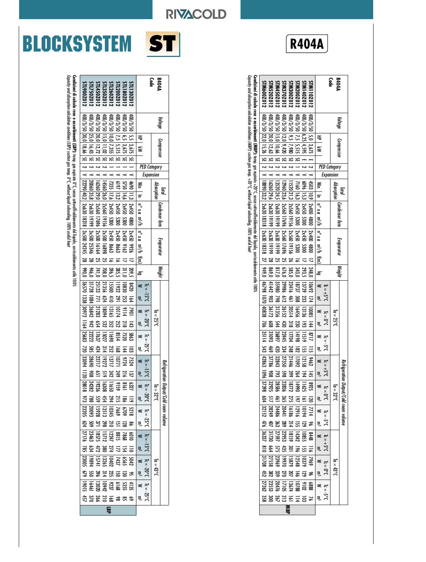# **BLOCKSYSTEM ST**

Capacity and absorption calculation conditions (LBP):

suction gas temp. 0°C, without liquid subcooling, 100% useful heat

Capacity and absorption calculation conditions (LBP): suction gas temp. 0°C, without liquid subcooling, 100% useful heat

|               | Voltage |                                               |                     |                  |                           | Condenser fans <sup>1</sup> | Evaporator                                                                                                                              | Weight |                                                                                                                    |              |                      |                                                          |                 | Refrigerat |            | ion Output/Cold room volume     |            |                                              |                 |                                                                                                                                                                                               |                   |                                 |     |                                                  |     |            |
|---------------|---------|-----------------------------------------------|---------------------|------------------|---------------------------|-----------------------------|-----------------------------------------------------------------------------------------------------------------------------------------|--------|--------------------------------------------------------------------------------------------------------------------|--------------|----------------------|----------------------------------------------------------|-----------------|------------|------------|---------------------------------|------------|----------------------------------------------|-----------------|-----------------------------------------------------------------------------------------------------------------------------------------------------------------------------------------------|-------------------|---------------------------------|-----|--------------------------------------------------|-----|------------|
| R4044<br>Code |         | Compressor                                    |                     |                  | Absorption                |                             |                                                                                                                                         |        |                                                                                                                    |              | $I_0 = 25^{\circ}$ C |                                                          |                 |            |            | $I_0 = 32^{\circ}C$             |            |                                              |                 |                                                                                                                                                                                               |                   | $I_0 = 43^{\circ}C$             |     |                                                  |     |            |
|               |         | $\equiv$<br>⋛                                 | <b>PED Category</b> | <b>Expansion</b> | Win   In                  |                             | $\left\lfloor \frac{m}{n} \right\rfloor$ f(m) $\left\lfloor \frac{n}{n} \right\rfloor$ in x e m <sup>3</sup> /h f(m)                    | å      | $\begin{array}{ccc} & & \mathbb{R}^3 & \\ & \mathbb{R}^3 & \\ & & \mathbb{R}^3 \end{array}$<br>$Ic = -15^{\circ}C$ | ≼            |                      | $16 = -20^\circ C$ $16 = -25^\circ C$ $16 = -15^\circ C$ |                 | $\leq$     |            | ≼                               |            |                                              |                 | W m <sup>3</sup> W m <sup>3</sup> W m <sup>3</sup> W m <sup>3</sup> M m <sup>3</sup> M m <sup>3</sup><br>W m <sup>3</sup> W m <sup>3</sup> W m <sup>3</sup> W m <sup>3</sup> W m <sup>3</sup> |                   |                                 |     |                                                  |     |            |
| STL130Z012    |         | 400/3/50 2,5 3675<br>K                        |                     |                  | 4690 11,3                 | 4800                        | 12x450<br>97.99<br>$\overline{a}$                                                                                                       | 209,5  | 0Z+8<br>164                                                                                                        | 7901         | 143                  | 5863                                                     | ౙ               | 7524       | [8]        |                                 | $\equiv$   | 5218<br>1863<br>1863<br>1863<br>1872<br>1873 | 98              |                                                                                                                                                                                               | $\equiv$          | 5042<br>1856<br>1326:<br>1574 1 | ჯ   | $\begin{array}{c}\n 4135 \\  5352\n \end{array}$ | S,  |            |
| STL180Z0172   |         | 400/3/50 6,5 3,675<br>$\overline{\mathbf{r}}$ |                     |                  |                           | 2x450<br>ນແ                 | 0sv450<br>3162                                                                                                                          | 311,0  | 10830<br>ដូ                                                                                                        | 2116         | 218                  | 7520                                                     | $\frac{144}{5}$ | 9724       | 216        | 6327<br>11659<br>11659<br>24282 | æ          |                                              | $\overline{33}$ | 6010<br>1881<br>15711<br>18575                                                                                                                                                                | $\overline{5}$    |                                 | డ్ర |                                                  | ಜ   |            |
| STL200Z012    |         | 400/3/50 7,5 5,515<br>$\overline{r}$          |                     |                  | 5750 14,6<br>  197   13,2 |                             | ᇹ                                                                                                                                       | 385,5  | 183<br>791                                                                                                         | Ξ            | 252                  | 9554                                                     | <b>L68</b>      | 1771       | <b>P49</b> |                                 |            |                                              | $\Xi$           |                                                                                                                                                                                               | $\frac{1}{2}$     |                                 | g   |                                                  | జ   |            |
| STL260Z012    |         | 400/3/50 0.00 1235<br>$\overline{r}$          |                     |                  | 7335 17,6                 | 2x450 5300<br>2x450 5300    | $\frac{2x450}{2x450}$<br>8683<br>5863<br>588                                                                                            |        | <b>USS</b><br>$\frac{410}{2}$                                                                                      | <b>E3165</b> | 352                  | 1691                                                     | 252             | 11211      | 342        |                                 | 215<br>294 |                                              | $\frac{210}{2}$ |                                                                                                                                                                                               |                   |                                 | 23  | 6168<br>19737<br>13720                           | ដូន | <b>LBP</b> |
| STL350Z012    |         | 100/3/20 15,0 11,02<br>$\overline{a}$         |                     |                  | 14560 26,0                | <b>2x560</b><br>95161       | 2x500                                                                                                                                   | 396,5  | 624                                                                                                                | 608          | និវ                  | 15027                                                    | $\frac{314}{1}$ | 19272      | 919        |                                 |            |                                              | 298             |                                                                                                                                                                                               |                   |                                 | 314 |                                                  |     |            |
| STL450Z011    |         | 400/3/50 20,0 12,72                           |                     |                  | $16260$ 29,0              | 2x560 17696                 | 2x500<br>16164<br>S                                                                                                                     | 741,0  | 21356<br>25133<br>$\overline{2}$                                                                                   | 2128         | 654                  | 17637                                                    | 424             | 22717      | c,         |                                 |            |                                              | $\overline{n}$  |                                                                                                                                                                                               | $\frac{274}{422}$ |                                 | 3g  |                                                  | 26d |            |
| STL750Z012    |         | 400/3/50 25,0 16,43<br><b>អ អ អ</b>           |                     |                  | 20060 35,8                | 2x630 19199                 | $\sim$ 1 3x500 $\gamma$<br>25346                                                                                                        | 946,0  | 31728<br>1084                                                                                                      | 26842        | 542                  | 2222                                                     | ຮູ              | 0698Z      | 806        |                                 | <b>558</b> |                                              | š               | 23465                                                                                                                                                                                         | 634               | 19894                           | ឌ   | $19 + 91$                                        | ឌ   |            |
| STL900Z0172   |         | 400/3/50 30,0 18,66                           |                     |                  | 22290 40,2                | 2x630 18318                 | 3x500 24245 28                                                                                                                          | 0'066  | 26570 1338 30972                                                                                                   |              | 1164                 | 25683                                                    | m               | 33094 1120 |            | <b>8018</b>                     | S.         | 23205                                        | PZ9             | 27176                                                                                                                                                                                         | 387               | 23005                           | S   | 51061,                                           | 457 |            |
|               |         |                                               |                     |                  |                           |                             | Condizioni di calcolo rese e association del fight, is any assignato of c, senza sotreratdomente del liquido, surriscadomente del 1976. |        |                                                                                                                    |              |                      |                                                          |                 |            |            |                                 |            |                                              |                 |                                                                                                                                                                                               |                   |                                 |     |                                                  |     |            |

|          |                     |                                                                                                                          |                                                 |                                       |                                       |                                                                                                                                            |                                                                   |                                                                                                                                                  |                          |            |                                                   |                       |                         |                                                                                                          |                                                       |                                         |                     |                                                                                                                                                                                                                                                                          |     | $3.5 - 3$                                                                                                                                                                                                                                                                                                                                                                                                                                                                        |
|----------|---------------------|--------------------------------------------------------------------------------------------------------------------------|-------------------------------------------------|---------------------------------------|---------------------------------------|--------------------------------------------------------------------------------------------------------------------------------------------|-------------------------------------------------------------------|--------------------------------------------------------------------------------------------------------------------------------------------------|--------------------------|------------|---------------------------------------------------|-----------------------|-------------------------|----------------------------------------------------------------------------------------------------------|-------------------------------------------------------|-----------------------------------------|---------------------|--------------------------------------------------------------------------------------------------------------------------------------------------------------------------------------------------------------------------------------------------------------------------|-----|----------------------------------------------------------------------------------------------------------------------------------------------------------------------------------------------------------------------------------------------------------------------------------------------------------------------------------------------------------------------------------------------------------------------------------------------------------------------------------|
|          | ≷                   |                                                                                                                          |                                                 | ≦<br>—                                |                                       |                                                                                                                                            | යි                                                                | $\leq$<br>₹,                                                                                                                                     | ≼                        |            |                                                   |                       |                         |                                                                                                          |                                                       |                                         |                     |                                                                                                                                                                                                                                                                          |     | $\blacksquare$<br><sub>쿠.</sub>                                                                                                                                                                                                                                                                                                                                                                                                                                                  |
| 05/2/00  |                     |                                                                                                                          | $\overline{\phantom{a}}$                        |                                       | $-4800$                               | 1800                                                                                                                                       | 248,0                                                             |                                                                                                                                                  | 10085                    |            |                                                   |                       |                         |                                                                                                          |                                                       |                                         |                     |                                                                                                                                                                                                                                                                          |     | $\tilde{z}$                                                                                                                                                                                                                                                                                                                                                                                                                                                                      |
|          |                     |                                                                                                                          |                                                 |                                       |                                       | <b>2x450</b><br>1300                                                                                                                       |                                                                   | 1339<br>- 23                                                                                                                                     | 13136                    |            |                                                   |                       |                         |                                                                                                          |                                                       |                                         |                     |                                                                                                                                                                                                                                                                          |     | $\overline{a}$                                                                                                                                                                                                                                                                                                                                                                                                                                                                   |
| 05/8/00# |                     |                                                                                                                          |                                                 |                                       | $-5300$                               | ᇹ                                                                                                                                          |                                                                   | 18737<br>జ్ఞ                                                                                                                                     | 16456                    | 230        |                                                   |                       |                         |                                                                                                          |                                                       |                                         |                     |                                                                                                                                                                                                                                                                          |     | $\overline{z}$                                                                                                                                                                                                                                                                                                                                                                                                                                                                   |
|          |                     |                                                                                                                          |                                                 |                                       |                                       | 2x560 19156                                                                                                                                |                                                                   | 23416<br>191                                                                                                                                     | 20514                    | <u>្</u> ឋ |                                                   |                       |                         |                                                                                                          |                                                       |                                         |                     |                                                                                                                                                                                                                                                                          |     |                                                                                                                                                                                                                                                                                                                                                                                                                                                                                  |
|          |                     |                                                                                                                          |                                                 |                                       |                                       | 1769(                                                                                                                                      |                                                                   | 29986<br>$\frac{1}{2}$                                                                                                                           | 26152                    | 430        |                                                   |                       |                         |                                                                                                          |                                                       |                                         |                     |                                                                                                                                                                                                                                                                          |     |                                                                                                                                                                                                                                                                                                                                                                                                                                                                                  |
|          | 99'01 0'S1 0'S/2001 |                                                                                                                          |                                                 |                                       | SE   2   V   13520 24,5   2x630 19199 | 5×630 19199<br>S,                                                                                                                          | 0/18                                                              | 35980<br>798                                                                                                                                     | 31356                    | 544        |                                                   |                       |                         | 793                                                                                                      |                                                       |                                         |                     |                                                                                                                                                                                                                                                                          |     |                                                                                                                                                                                                                                                                                                                                                                                                                                                                                  |
|          | 400/3/50 20,0 12,63 |                                                                                                                          |                                                 | SE   2   V   16260 29,6   2x630 19199 |                                       | 2x630 19199 28                                                                                                                             | 0'698                                                             | 41442 903                                                                                                                                        | 36172                    | ຣູ         | 131093                                            | 469                   | 37786                   | នី                                                                                                       |                                                       |                                         |                     |                                                                                                                                                                                                                                                                          |     | 688<br>1710<br>1710<br>2355<br>23555<br><b>A225</b>                                                                                                                                                                                                                                                                                                                                                                                                                              |
|          |                     |                                                                                                                          |                                                 |                                       |                                       |                                                                                                                                            |                                                                   | 400/3/50  22,0  25  25  21  2  20  32,  26:80  38318  26:80  38318  27  26:90  46798  2000  4088  206                                            |                          |            | 35114 543 42863                                   |                       |                         | 1096                                                                                                     | 37398                                                 |                                         |                     |                                                                                                                                                                                                                                                                          | 452 | 127262<br>338                                                                                                                                                                                                                                                                                                                                                                                                                                                                    |
|          | Voltage             | 400/3/50 12,0 9,420<br>086'Z   5'6   05/2/00b<br>400/3/50 6,25 4,595<br> 75 5515<br>50   3.675<br>$\equiv$<br>Compressor | $\overline{5}$<br>ដ<br>ង<br><b>PED Category</b> | $\frac{1}{2}$<br><b>Expansion</b>     | $\leq$<br>12960 23,6<br>5<br>3        | $\vert$ 2   V   11520   21,3   2x560 19156<br>7160 16,3 2x450<br>0065 05+72  2'31 9609<br>4503 10,9 2x400<br>2x560 17696<br>Condenser fans | 2x560<br><b>2x450</b><br>00 <sup>×7</sup><br>Evaporator<br>0 5300 | n° x ø m3/h   n° x ø m3/h   t(m) <br>$\frac{1}{2}$<br>$\overline{\mathbf{z}}$<br>S.<br>$\overline{a}$<br><b>585,0</b><br>293,5<br>676,0<br>343,0 | 10692 174<br>$J_0S^+=12$ |            | $I_0 = 25^{\circ}C$<br>$\frac{1}{2}$<br>$2 - 144$ | $I_{c} = 0^{\circ}$ ( | $1.5 - 5^{\circ}$<br>₹, | 2717 115 9462<br>1215 1958 1977<br>17704 248 182 1946<br>17704 1958 1978<br>1987 1988 1988<br>18897 1988 | $-3.5f = 3$<br>264<br>399<br>$\frac{145}{194}$<br>865 | 8925<br>11625<br>18772<br>28586<br>2925 | $I_0 = 32^{\circ}C$ | Refrigeration Output/Cold room volume<br>122   171   171   1<br>  172   172   174   174   174   175   175   175   176   176   177   178   178   178   178<br>  178   178   178   178   178   178   178   178   178   178   178   178   178   178   178   178   178   178 |     | $\begin{array}{ccccccccc}\n & \text{if } & 0 & 0 & \text{if } & 0 & \text{if } & 0 & \text{if } & 0 & \text{if } & 0 & \text{if } & 0 & \text{if } & 0 & \text{if } & 0 & \text{if } & 0 & \text{if } & 0 & \text{if } & 0 & \text{if } & 0 & \text{if } & 0 & \text{if } & 0 & \text{if } & 0 & \text{if } & 0 & \text{if } & 0 & \text{if } & 0 & \text{if } & 0 & \text{if } & 0 & \text{if } & 0 & \text{if } & 0 & \text{if } & 0$<br>$I_0 = 43^{\circ}$<br><b>25452888</b> |

**R404A**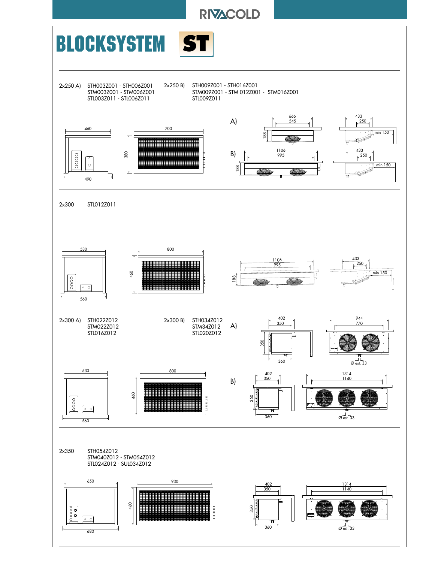